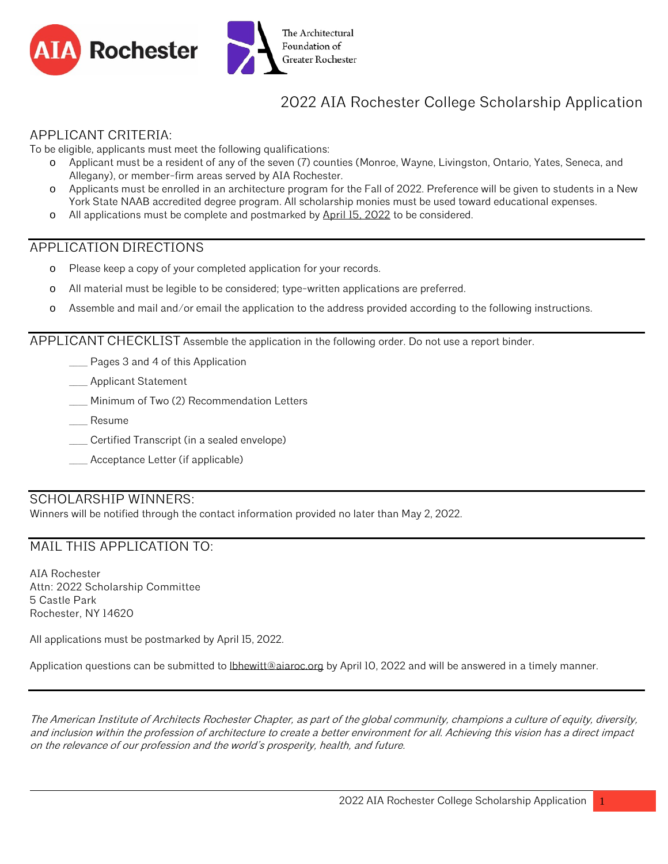



# 2022 AIA Rochester College Scholarship Application

#### APPLICANT CRITERIA:

To be eligible, applicants must meet the following qualifications:

- o Applicant must be a resident of any of the seven (7) counties (Monroe, Wayne, Livingston, Ontario, Yates, Seneca, and Allegany), or member-firm areas served by AIA Rochester.
- o Applicants must be enrolled in an architecture program for the Fall of 2022. Preference will be given to students in a New York State NAAB accredited degree program. All scholarship monies must be used toward educational expenses.
- o All applications must be complete and postmarked by April 15, 2022 to be considered.

## APPLICATION DIRECTIONS

- o Please keep a copy of your completed application for your records.
- o All material must be legible to be considered; type-written applications are preferred.
- o Assemble and mail and/or email the application to the address provided according to the following instructions.

APPLICANT CHECKLIST Assemble the application in the following order. Do not use a report binder.

- Pages 3 and 4 of this Application
- \_\_\_\_ Applicant Statement
- Minimum of Two (2) Recommendation Letters
- \_\_\_\_ Resume
- \_\_\_\_ Certified Transcript (in a sealed envelope)
- \_\_\_\_ Acceptance Letter (if applicable)

#### SCHOLARSHIP WINNERS:

Winners will be notified through the contact information provided no later than May 2, 2022.

## MAIL THIS APPLICATION TO:

AIA Rochester Attn: 2022 Scholarship Committee 5 Castle Park Rochester, NY 14620

All applications must be postmarked by April 15, 2022.

Application questions can be submitted to *lbhewitt@aiaroc.org* by April 10, 2022 and will be answered in a timely manner.

The American Institute of Architects Rochester Chapter, as part of the global community, champions a culture of equity, diversity, and inclusion within the profession of architecture to create a better environment for all. Achieving this vision has a direct impact on the relevance of our profession and the world's prosperity, health, and future.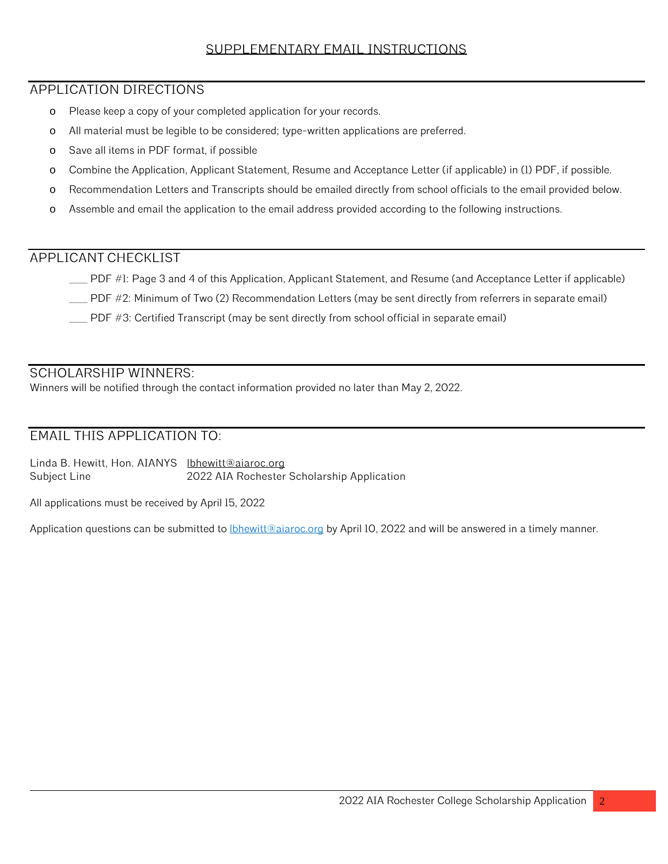## SUPPLEMENTARY EMAIL INSTRUCTIONS

## APPLICATION DIRECTIONS

- o Please keep a copy of your completed application for your records.
- o All material must be legible to be considered; type-written applications are preferred.
- o Save all items in PDF format, if possible
- o Combine the Application, Applicant Statement, Resume and Acceptance Letter (if applicable) in (1) PDF, if possible.
- o Recommendation Letters and Transcripts should be emailed directly from school officials to the email provided below.
- o Assemble and email the application to the email address provided according to the following instructions.

## APPLICANT CHECKLIST

- \_\_\_\_ PDF #1: Page 3 and 4 of this Application, Applicant Statement, and Resume (and Acceptance Letter if applicable)
- \_\_\_\_ PDF #2: Minimum of Two (2) Recommendation Letters (may be sent directly from referrers in separate email)
- \_\_\_\_ PDF #3: Certified Transcript (may be sent directly from school official in separate email)

## SCHOLARSHIP WINNERS:

Winners will be notified through the contact information provided no later than May 2, 2022.

## EMAIL THIS APPLICATION TO:

Linda B. Hewitt, Hon. AIANYS [lbhewitt@aiaroc.org](mailto:lbhewitt@aiaroc.org) Subject Line 2022 AIA Rochester Scholarship Application

All applications must be received by April 15, 2022

Application questions can be submitted to *lbhewitt@aiaroc.org* by April 10, 2022 and will be answered in a timely manner.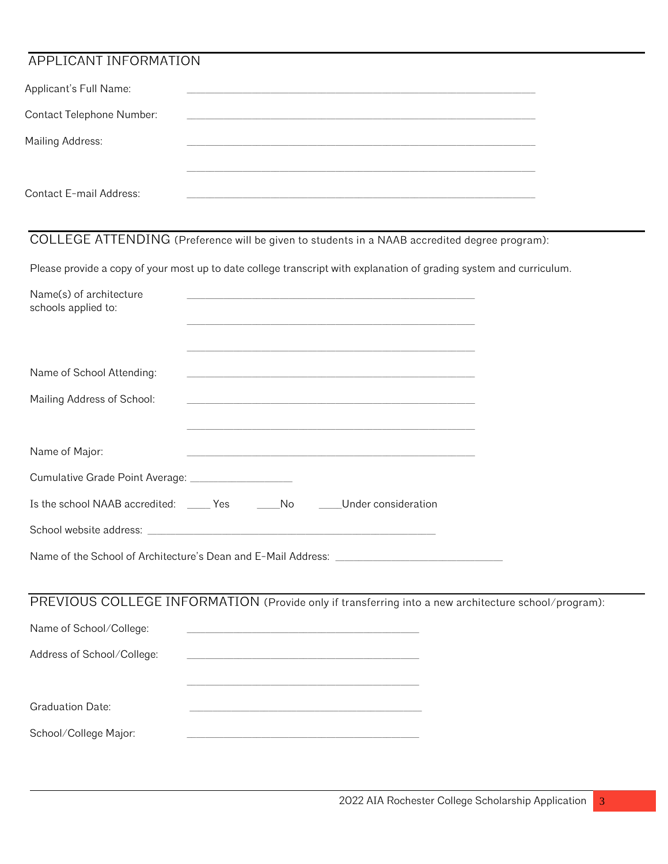## APPLICANT INFORMATION

| Applicant's Full Name:           |  |
|----------------------------------|--|
| <b>Contact Telephone Number:</b> |  |
| Mailing Address:                 |  |
|                                  |  |
| Contact E-mail Address:          |  |

# COLLEGE ATTENDING (Preference will be given to students in a NAAB accredited degree program):

Please provide a copy of your most up to date college transcript with explanation of grading system and curriculum.

| Name(s) of architecture<br>schools applied to:      | <u> 1989 - Johann Stein, marwolaethau a bhann an chomhair an chomhair an chomhair an chomhair an chomhair an chom</u> |
|-----------------------------------------------------|-----------------------------------------------------------------------------------------------------------------------|
| Name of School Attending:                           | <u> 1980 - Johann John Stone, mars and de final and de final and de final and de final and de final and de final</u>  |
| Mailing Address of School:                          | <u> 1980 - Johann John Stone, mars and de final de la provincia de la provincia de la provincia de la provincia d</u> |
| Name of Major:                                      | <u> 1980 - Johann John Stone, mars and de final de la provincia de la provincia de la provincia de la provincia d</u> |
| Cumulative Grade Point Average: ___________________ |                                                                                                                       |
|                                                     | Is the school NAAB accredited: _____ Yes _______No ______Under consideration                                          |
|                                                     |                                                                                                                       |
|                                                     |                                                                                                                       |
|                                                     | PREVIOUS COLLEGE INFORMATION (Provide only if transferring into a new architecture school/program):                   |
| Name of School/College:                             | <u> 1980 - Johann John Stone, mars et al. (b. 1980)</u>                                                               |
| Address of School/College:                          | <u> 1989 - Johann John Stone, markin film yn y brening yn y brening yn y brening yn y brening y brening yn y bre</u>  |
|                                                     |                                                                                                                       |
| <b>Graduation Date:</b>                             |                                                                                                                       |
| School/College Major:                               |                                                                                                                       |